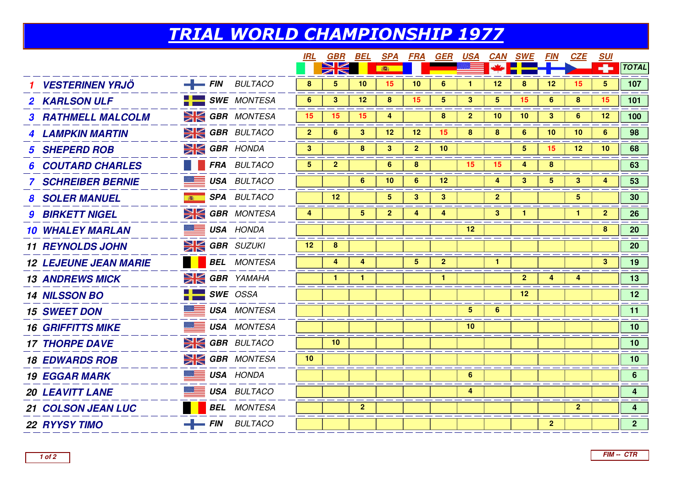## TRIAL WORLD CHAMPIONSHIP 1977

|                              |   |                            | <i>IRL</i>     | <b>GBR BEL</b> |                         | <b>SPA</b>      | FRA            | GER             | <u>USA</u>     |                 | <b>CAN SWE</b>  | <b>FIN</b>     | CZE             | <u>SUI</u>      |                         |
|------------------------------|---|----------------------------|----------------|----------------|-------------------------|-----------------|----------------|-----------------|----------------|-----------------|-----------------|----------------|-----------------|-----------------|-------------------------|
|                              |   |                            |                |                |                         | 高               |                |                 |                |                 |                 |                |                 |                 | <b>TOTAL</b>            |
| <b>VESTERINEN YRJÖ</b>       |   | $\equiv$ FIN BULTACO       | 8              | 5              | 10                      | 15 <sub>1</sub> | 10             | 6               |                | 12              | 8               | 12             | 15              | $5\phantom{.0}$ | 107                     |
| <b>2 KARLSON ULF</b>         |   | $\blacksquare$ SWE MONTESA | 6              | $\mathbf{3}$   | 12                      | 8               | 15             | 5               | $\mathbf{3}$   | $\overline{5}$  | 15              | $6^{\circ}$    | 8               | 15              | 101                     |
| <b>3 RATHMELL MALCOLM</b>    |   | <b>SK GBR MONTESA</b>      | 15             | 15             | 15                      | 4               |                | 8               | $\overline{2}$ | 10              | 10              | 3 <sup>1</sup> | 6               | 12              | 100                     |
| <b>4 LAMPKIN MARTIN</b>      |   | <b>SK GBR</b> BULTACO      | 2 <sup>1</sup> | 6              | 3                       | 12              | 12             | 15              | 8              | 8               | 6               | 10             | 10              | 6               | 98                      |
| <b>5 SHEPERD ROB</b>         |   | <b>SIGBR</b> HONDA         | 3              |                | 8                       | 3               | $\mathbf{2}$   | 10              |                |                 | 5               | 15             | 12 <sub>2</sub> | 10 <sup>°</sup> | 68                      |
| <b>COUTARD CHARLES</b>       |   | FRA BULTACO                | $5^{\circ}$    | $\mathbf{2}$   |                         | 6               | 8              |                 | 15             | 15              | 4               | 8              |                 |                 | 63                      |
| <b>7 SCHREIBER BERNIE</b>    |   | <b>BEE USA BULTACO</b>     |                |                | 6                       | 10              | 6              | 12 <sub>2</sub> |                | 4               | 3               | 5              | $3\phantom{a}$  | 4               | 53                      |
| <b>8 SOLER MANUEL</b>        | 高 | <b>SPA</b> BULTACO         |                | $12 \,$        |                         | 5.              | 3              | 3               |                | $\mathbf{2}$    |                 |                | 5               |                 | 30                      |
| <b>9 BIRKETT NIGEL</b>       |   | <b>SI GBR</b> MONTESA      | 4              |                | $\overline{\mathbf{5}}$ | 2 <sup>1</sup>  | 4              | 4               |                | $3\phantom{.0}$ | $\mathbf{1}$    |                | $\mathbf{1}$    | $\mathbf{2}$    | 26                      |
| <b>10 WHALEY MARLAN</b>      |   | <b>USA HONDA</b>           |                |                |                         |                 |                |                 | 12             |                 |                 |                |                 | 8               | 20                      |
| <b>11 REYNOLDS JOHN</b>      |   | $\geq$ GBR SUZUKI          | 12             | 8              |                         |                 |                |                 |                |                 |                 |                |                 |                 | 20                      |
| <b>12 LEJEUNE JEAN MARIE</b> |   | <b>BEL</b> MONTESA         |                | 4              | 4                       |                 | 5 <sub>5</sub> | $\mathbf{2}$    |                | $\mathbf{1}$    |                 |                |                 | 3               | 19                      |
| <b>13 ANDREWS MICK</b>       |   | <b>SK GBR</b> YAMAHA       |                | $\mathbf{1}$   | $\mathbf{1}$            |                 |                | 1               |                |                 | $\mathbf{2}$    | 4              | 4               |                 | 13                      |
| <b>14 NILSSON BO</b>         |   | $SWE$ OSSA                 |                |                |                         |                 |                |                 |                |                 | 12 <sub>2</sub> |                |                 |                 | 12 <sup>7</sup>         |
| <b>15 SWEET DON</b>          |   | <b>USA MONTESA</b>         |                |                |                         |                 |                |                 | 5              | 6               |                 |                |                 |                 | 11                      |
| <b>16 GRIFFITTS MIKE</b>     |   | <b>USA MONTESA</b>         |                |                |                         |                 |                |                 | 10             |                 |                 |                |                 |                 | 10 <sub>1</sub>         |
| <b>17 THORPE DAVE</b>        |   | <b>SK GBR</b> BULTACO      |                | 10             |                         |                 |                |                 |                |                 |                 |                |                 |                 | 10 <sub>1</sub>         |
| <b>18 EDWARDS ROB</b>        |   | <b>SK GBR</b> MONTESA      | 10             |                |                         |                 |                |                 |                |                 |                 |                |                 |                 | 10 <sub>1</sub>         |
| <b>19 EGGAR MARK</b>         |   | <b>USA HONDA</b>           |                |                |                         |                 |                |                 | $6^{\circ}$    |                 |                 |                |                 |                 | 6 <sup>1</sup>          |
| <b>20 LEAVITT LANE</b>       |   | <b>USA BULTACO</b>         |                |                |                         |                 |                |                 | $\overline{4}$ |                 |                 |                |                 |                 | $\overline{\mathbf{4}}$ |
| <b>21 COLSON JEAN LUC</b>    |   | <b>BEL</b> MONTESA         |                |                | $\overline{2}$          |                 |                |                 |                |                 |                 |                | $\overline{2}$  |                 | $\overline{4}$          |
| <b>22 RYYSY TIMO</b>         |   | $-$ FIN BULTACO            |                |                |                         |                 |                |                 |                |                 |                 | $\mathbf{2}$   |                 |                 | 2 <sup>7</sup>          |
|                              |   |                            |                |                |                         |                 |                |                 |                |                 |                 |                |                 |                 |                         |